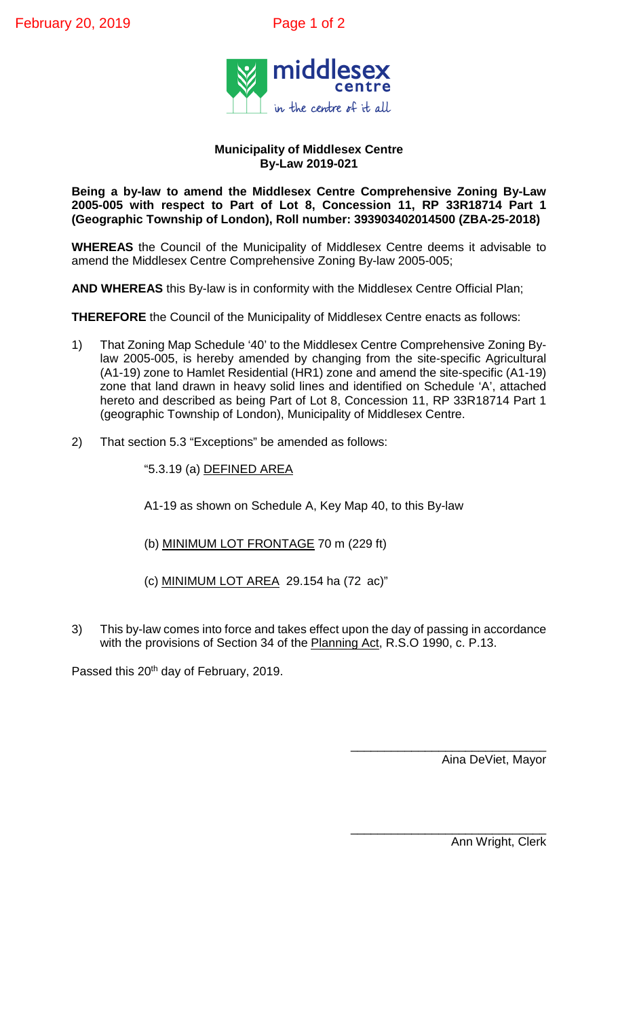

## **Municipality of Middlesex Centre By-Law 2019-021**

**Being a by-law to amend the Middlesex Centre Comprehensive Zoning By-Law 2005-005 with respect to Part of Lot 8, Concession 11, RP 33R18714 Part 1 (Geographic Township of London), Roll number: 393903402014500 (ZBA-25-2018)**

**WHEREAS** the Council of the Municipality of Middlesex Centre deems it advisable to amend the Middlesex Centre Comprehensive Zoning By-law 2005-005;

**AND WHEREAS** this By-law is in conformity with the Middlesex Centre Official Plan;

**THEREFORE** the Council of the Municipality of Middlesex Centre enacts as follows:

- 1) That Zoning Map Schedule '40' to the Middlesex Centre Comprehensive Zoning Bylaw 2005-005, is hereby amended by changing from the site-specific Agricultural (A1-19) zone to Hamlet Residential (HR1) zone and amend the site-specific (A1-19) zone that land drawn in heavy solid lines and identified on Schedule 'A', attached hereto and described as being Part of Lot 8, Concession 11, RP 33R18714 Part 1 (geographic Township of London), Municipality of Middlesex Centre.
- 2) That section 5.3 "Exceptions" be amended as follows:

"5.3.19 (a) DEFINED AREA

A1-19 as shown on Schedule A, Key Map 40, to this By-law

- (b) MINIMUM LOT FRONTAGE 70 m (229 ft)
- (c) MINIMUM LOT AREA 29.154 ha (72 ac)"
- 3) This by-law comes into force and takes effect upon the day of passing in accordance with the provisions of Section 34 of the Planning Act, R.S.O 1990, c. P.13.

Passed this 20<sup>th</sup> day of February, 2019.

\_\_\_\_\_\_\_\_\_\_\_\_\_\_\_\_\_\_\_\_\_\_\_\_\_\_\_\_\_ Aina DeViet, Mayor

\_\_\_\_\_\_\_\_\_\_\_\_\_\_\_\_\_\_\_\_\_\_\_\_\_\_\_\_\_ Ann Wright, Clerk